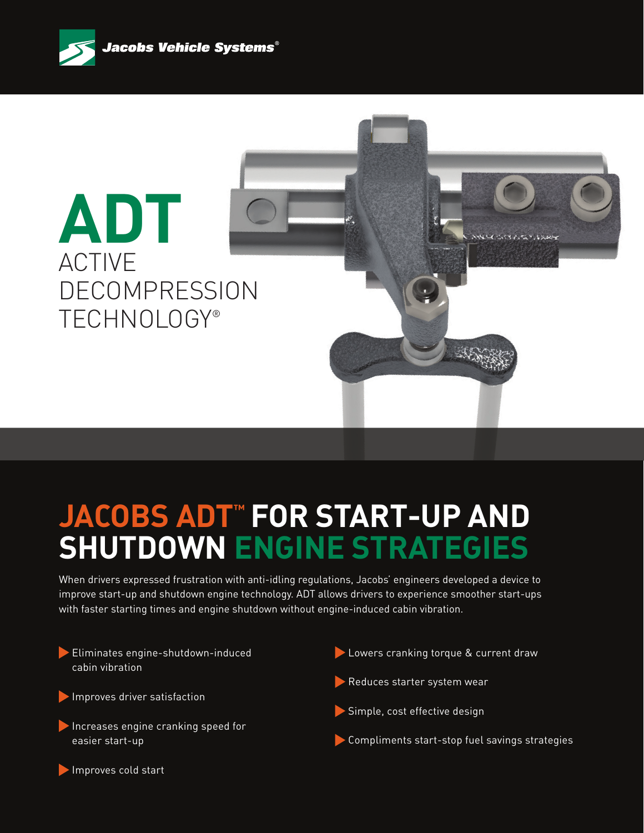



# **JACOBS ADT™ FOR START-UP AND SHUTDOWN ENGINE STRATEGIES**

When drivers expressed frustration with anti-idling regulations, Jacobs' engineers developed a device to improve start-up and shutdown engine technology. ADT allows drivers to experience smoother start-ups with faster starting times and engine shutdown without engine-induced cabin vibration.

Eliminates engine-shutdown-induced cabin vibration Improves driver satisfaction Increases engine cranking speed for easier start-up Lowers cranking torque & current draw Reduces starter system wear Simple, cost effective design Compliments start-stop fuel savings strategies

Improves cold start